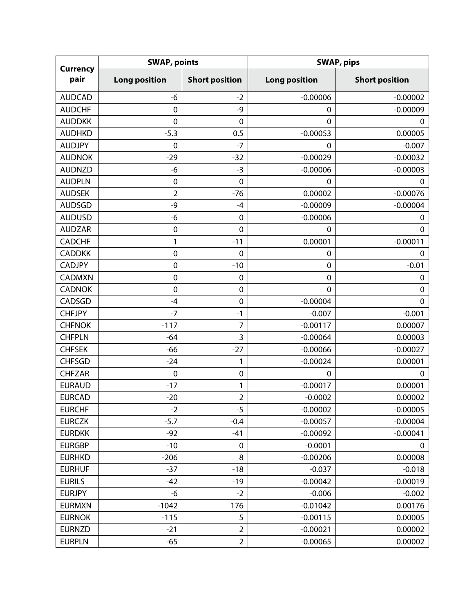| <b>Currency</b><br>pair | <b>SWAP, points</b>  |                       | <b>SWAP, pips</b>    |                       |
|-------------------------|----------------------|-----------------------|----------------------|-----------------------|
|                         | <b>Long position</b> | <b>Short position</b> | <b>Long position</b> | <b>Short position</b> |
| <b>AUDCAD</b>           | -6                   | $-2$                  | $-0.00006$           | $-0.00002$            |
| <b>AUDCHF</b>           | $\mathbf 0$          | -9                    | $\mathbf 0$          | $-0.00009$            |
| <b>AUDDKK</b>           | $\mathbf 0$          | $\mathbf 0$           | 0                    | 0                     |
| <b>AUDHKD</b>           | $-5.3$               | 0.5                   | $-0.00053$           | 0.00005               |
| <b>AUDJPY</b>           | $\mathbf 0$          | $-7$                  | $\Omega$             | $-0.007$              |
| <b>AUDNOK</b>           | $-29$                | $-32$                 | $-0.00029$           | $-0.00032$            |
| <b>AUDNZD</b>           | -6                   | $-3$                  | $-0.00006$           | $-0.00003$            |
| <b>AUDPLN</b>           | $\mathbf 0$          | $\mathbf 0$           | 0                    | $\mathbf 0$           |
| <b>AUDSEK</b>           | $\overline{2}$       | $-76$                 | 0.00002              | $-0.00076$            |
| <b>AUDSGD</b>           | -9                   | $-4$                  | $-0.00009$           | $-0.00004$            |
| <b>AUDUSD</b>           | -6                   | $\mathbf 0$           | $-0.00006$           | 0                     |
| <b>AUDZAR</b>           | $\mathbf 0$          | 0                     | $\Omega$             | $\mathbf 0$           |
| <b>CADCHF</b>           | 1                    | $-11$                 | 0.00001              | $-0.00011$            |
| <b>CADDKK</b>           | $\mathbf 0$          | $\mathbf 0$           | $\mathbf 0$          | 0                     |
| <b>CADJPY</b>           | 0                    | $-10$                 | $\mathbf 0$          | $-0.01$               |
| <b>CADMXN</b>           | $\mathbf 0$          | $\mathbf 0$           | $\mathbf 0$          | $\mathbf 0$           |
| <b>CADNOK</b>           | $\mathbf 0$          | $\pmb{0}$             | $\mathbf 0$          | $\mathbf 0$           |
| CADSGD                  | $-4$                 | $\mathbf 0$           | $-0.00004$           | $\mathbf 0$           |
| <b>CHFJPY</b>           | $-7$                 | $-1$                  | $-0.007$             | $-0.001$              |
| <b>CHFNOK</b>           | $-117$               | 7                     | $-0.00117$           | 0.00007               |
| <b>CHFPLN</b>           | $-64$                | 3                     | $-0.00064$           | 0.00003               |
| <b>CHFSEK</b>           | $-66$                | $-27$                 | $-0.00066$           | $-0.00027$            |
| <b>CHFSGD</b>           | $-24$                | 1                     | $-0.00024$           | 0.00001               |
| <b>CHFZAR</b>           | $\mathbf 0$          | $\mathbf 0$           | $\mathbf 0$          | $\mathbf 0$           |
| <b>EURAUD</b>           | $-17$                | 1                     | $-0.00017$           | 0.00001               |
| <b>EURCAD</b>           | $-20$                | $\overline{2}$        | $-0.0002$            | 0.00002               |
| <b>EURCHF</b>           | $-2$                 | $-5$                  | $-0.00002$           | $-0.00005$            |
| <b>EURCZK</b>           | $-5.7$               | $-0.4$                | $-0.00057$           | $-0.00004$            |
| <b>EURDKK</b>           | $-92$                | $-41$                 | $-0.00092$           | $-0.00041$            |
| <b>EURGBP</b>           | $-10$                | $\pmb{0}$             | $-0.0001$            | 0                     |
| <b>EURHKD</b>           | $-206$               | 8                     | $-0.00206$           | 0.00008               |
| <b>EURHUF</b>           | $-37$                | $-18$                 | $-0.037$             | $-0.018$              |
| <b>EURILS</b>           | $-42$                | $-19$                 | $-0.00042$           | $-0.00019$            |
| <b>EURJPY</b>           | -6                   | $-2$                  | $-0.006$             | $-0.002$              |
| <b>EURMXN</b>           | $-1042$              | 176                   | $-0.01042$           | 0.00176               |
| <b>EURNOK</b>           | $-115$               | 5                     | $-0.00115$           | 0.00005               |
| <b>EURNZD</b>           | $-21$                | $\overline{2}$        | $-0.00021$           | 0.00002               |
| <b>EURPLN</b>           | $-65$                | $\overline{2}$        | $-0.00065$           | 0.00002               |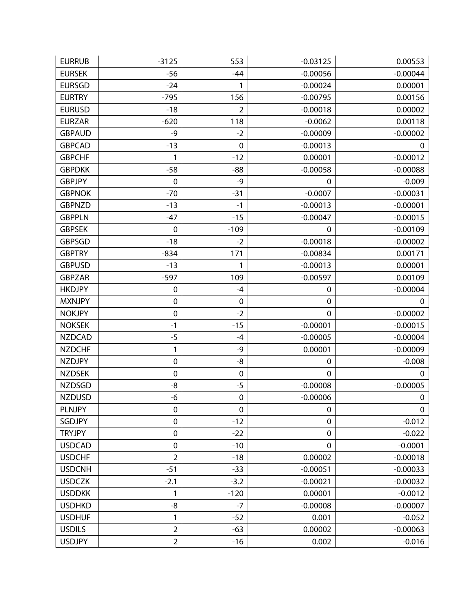| <b>EURRUB</b> | $-3125$        | 553            | $-0.03125$       | 0.00553     |
|---------------|----------------|----------------|------------------|-------------|
| <b>EURSEK</b> | $-56$          | $-44$          | $-0.00056$       | $-0.00044$  |
| <b>EURSGD</b> | $-24$          | 1              | $-0.00024$       | 0.00001     |
| <b>EURTRY</b> | $-795$         | 156            | $-0.00795$       | 0.00156     |
| <b>EURUSD</b> | $-18$          | $\overline{2}$ | $-0.00018$       | 0.00002     |
| <b>EURZAR</b> | $-620$         | 118            | $-0.0062$        | 0.00118     |
| <b>GBPAUD</b> | $-9$           | $-2$           | $-0.00009$       | $-0.00002$  |
| <b>GBPCAD</b> | $-13$          | $\mathbf 0$    | $-0.00013$       | 0           |
| <b>GBPCHF</b> | 1              | $-12$          | 0.00001          | $-0.00012$  |
| <b>GBPDKK</b> | $-58$          | $-88$          | $-0.00058$       | $-0.00088$  |
| <b>GBPJPY</b> | 0              | $-9$           | 0                | $-0.009$    |
| <b>GBPNOK</b> | $-70$          | $-31$          | $-0.0007$        | $-0.00031$  |
| <b>GBPNZD</b> | $-13$          | $-1$           | $-0.00013$       | $-0.00001$  |
| <b>GBPPLN</b> | $-47$          | $-15$          | $-0.00047$       | $-0.00015$  |
| <b>GBPSEK</b> | $\mathbf 0$    | $-109$         | 0                | $-0.00109$  |
| <b>GBPSGD</b> | $-18$          | $-2$           | $-0.00018$       | $-0.00002$  |
| <b>GBPTRY</b> | $-834$         | 171            | $-0.00834$       | 0.00171     |
| <b>GBPUSD</b> | $-13$          | 1              | $-0.00013$       | 0.00001     |
| <b>GBPZAR</b> | $-597$         | 109            | $-0.00597$       | 0.00109     |
| <b>HKDJPY</b> | 0              | $-4$           | $\pmb{0}$        | $-0.00004$  |
| <b>MXNJPY</b> | $\mathbf 0$    | $\mathbf 0$    | $\boldsymbol{0}$ | 0           |
| <b>NOKJPY</b> | $\mathbf 0$    | $-2$           | $\pmb{0}$        | $-0.00002$  |
| <b>NOKSEK</b> | $-1$           | $-15$          | $-0.00001$       | $-0.00015$  |
| <b>NZDCAD</b> | $-5$           | $-4$           | $-0.00005$       | $-0.00004$  |
| <b>NZDCHF</b> | 1              | -9             | 0.00001          | $-0.00009$  |
| <b>NZDJPY</b> | $\pmb{0}$      | -8             | 0                | $-0.008$    |
| <b>NZDSEK</b> | $\mathbf 0$    | $\mathbf 0$    | $\mathbf 0$      | $\mathbf 0$ |
| <b>NZDSGD</b> | -8             | $-5$           | $-0.00008$       | $-0.00005$  |
| <b>NZDUSD</b> | -6             | $\pmb{0}$      | $-0.00006$       | $\mathbf 0$ |
| <b>PLNJPY</b> | $\pmb{0}$      | 0              | $\pmb{0}$        | $\mathbf 0$ |
| <b>SGDJPY</b> | $\pmb{0}$      | $-12$          | $\pmb{0}$        | $-0.012$    |
| <b>TRYJPY</b> | $\pmb{0}$      | $-22$          | $\mathbf 0$      | $-0.022$    |
| <b>USDCAD</b> | $\mathbf 0$    | $-10$          | $\mathbf 0$      | $-0.0001$   |
| <b>USDCHF</b> | $\overline{2}$ | $-18$          | 0.00002          | $-0.00018$  |
| <b>USDCNH</b> | $-51$          | $-33$          | $-0.00051$       | $-0.00033$  |
| <b>USDCZK</b> | $-2.1$         | $-3.2$         | $-0.00021$       | $-0.00032$  |
| <b>USDDKK</b> | 1              | $-120$         | 0.00001          | $-0.0012$   |
| <b>USDHKD</b> | $-8$           | $-7$           | $-0.00008$       | $-0.00007$  |
| <b>USDHUF</b> | 1              | $-52$          | 0.001            | $-0.052$    |
| <b>USDILS</b> | $\overline{2}$ | $-63$          | 0.00002          | $-0.00063$  |
| <b>USDJPY</b> | $\overline{2}$ | $-16$          | 0.002            | $-0.016$    |